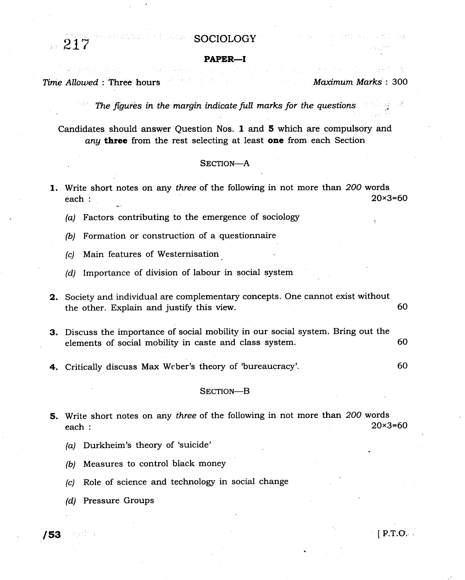## **SOCIOLOGY**

### PAPER\_I

## Time Allowed : Three' hours Maximum Marks : 300

,, 21?

60

The figures in the margin indicate full marks for the questions

Candidates should answer Question Nos. I and 5 which are compulsory and any three from the rest selecting at least one from each Section

### SECTION-A

- 1. Write short notes on any three of the following in not more than 200 words  $e$ ach :  $20 \times 3 = 60$ 
	- (a) Factors contributing to the emergence of sociology
	- {b) Formation or construction of a questionnaire
	- (c) Main features of Westernisation.
	- (d) Importance of division of labour in social system
- 2. Society and individual are complementary concepts. One cannot exist without the other. Explain and justify this view. 60
- 3. Discuss the importance of social mobility in our social system. Bring out the elements of social mobility in caste and class system. 60
- 4. Critically discuss Max Weber's theory of 'bureaucracy'.

### SECTION-B

- 5. Write short notes on any *three* of the following in not more than 200 words each  $\cdot$  20×3=60 each :  $20\times3=60$ 
	- (a) Durkheim's theory of 'suicide'
	- (b) Measures to control black money
	- (c) Role of science and technology in social change
	- (d) Pressure Groups

 $163$ . If  $163$ . If  $163$ . If  $163$ . If  $163$ . If  $163$ . If  $163$ . If  $163$ . If  $163$ . If  $163$ . If  $163$ . If  $163$ . If  $163$ . If  $163$ . If  $163$ . If  $163$ . If  $163$ . If  $163$ . If  $163$ . If  $163$ . If  $163$ . If  $163$ . If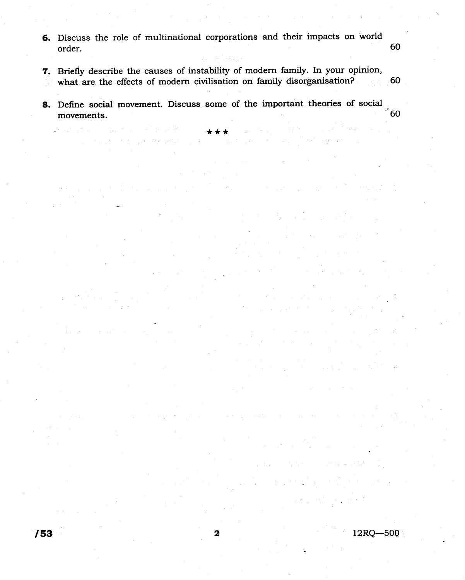- 6. Discuss the role of multinational corporations and their impacts on world order.
- 7. Briefly describe the causes of instability of modern family. In your opinion, what are the effects of modern civilisation on family disorganisation?  $-60$  $\mathcal{F}(\mathcal{L})$
- 8. Define social movement. Discuss some of the important theories of social  $\mathbf{60}$ movements.

 $\omega \in \mathbb{R}^{n \times n}$ 

12RQ-500

60

بالإبار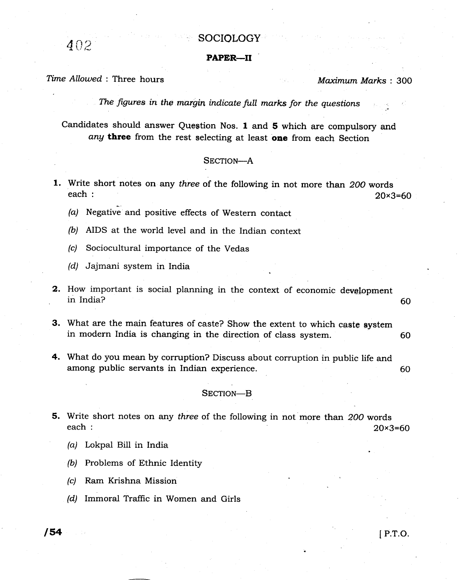# $402$  SOCIOLOGY

### PAPER\_II

## Time Allowed : Three hours

Maximum Marks: 300

.:

The figures in the margin indicate full marks for the questions

Candidates should answer Question Nos. 1 and 5 which are compulsory and any three from the rest selecting at least one from each Section

### SECTION-A

- 1. Write short notes on any *three* of the following in not more than 200 words each :  $e$ ach : 20 $\times$ 3=60
	- $(a)$  Negative and positive effects of Western contact
	- (b) AIDS at the world level and in the Indian context
	- (c) Sociocultural importance of the Vedas
	- (d) Jajmani system in India
- **2.** How important is social planning in the context of economic development in India? 60
- 60 3. What are the main features of caste? Show the extent to which caste system in modern India is changing in the direction of class system.
- 60 4. What do you mean by corruption? Discuss about corruption in public life and among public servants in Indian experience.

### SECTION-B

- 5. Write short notes on any three of the following in not more than 200 words  $e^{20 \times 3} = 60$ 
	- (a) Lokpal Bill in India
	- (b) Problems of Ethnic Identity
	- (c) Ram Krishna Mission
	- (d) Immoral Traffic in Women and Girls